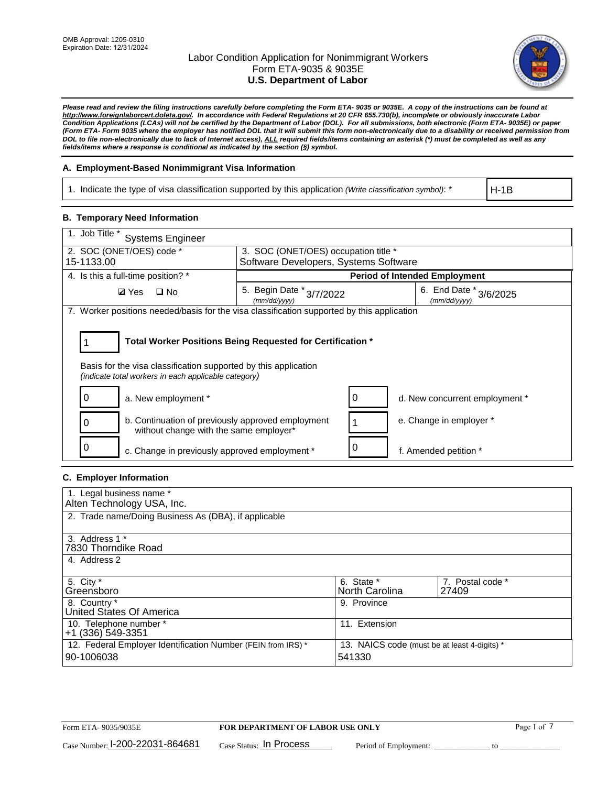

*Please read and review the filing instructions carefully before completing the Form ETA- 9035 or 9035E. A copy of the instructions can be found at [http://www.foreignlaborcert.doleta.gov/.](http://www.foreignlaborcert.doleta.gov/) In accordance with Federal Regulations at 20 CFR 655.730(b), incomplete or obviously inaccurate Labor Condition Applications (LCAs) will not be certified by the Department of Labor (DOL). For all submissions, both electronic (Form ETA- 9035E) or paper (Form ETA- Form 9035 where the employer has notified DOL that it will submit this form non-electronically due to a disability or received permission from DOL to file non-electronically due to lack of Internet access), ALL required fields/items containing an asterisk (\*) must be completed as well as any fields/items where a response is conditional as indicated by the section (§) symbol.* 

## **A. Employment-Based Nonimmigrant Visa Information**

1. Indicate the type of visa classification supported by this application *(Write classification symbol)*: \*

H-1B

## **B. Temporary Need Information**

| 1. Job Title *<br><b>Systems Engineer</b>                                                                               |                                                                               |   |                                        |
|-------------------------------------------------------------------------------------------------------------------------|-------------------------------------------------------------------------------|---|----------------------------------------|
| 2. SOC (ONET/OES) code *<br>15-1133.00                                                                                  | 3. SOC (ONET/OES) occupation title *<br>Software Developers, Systems Software |   |                                        |
|                                                                                                                         |                                                                               |   |                                        |
| 4. Is this a full-time position? *                                                                                      |                                                                               |   | <b>Period of Intended Employment</b>   |
| <b>Ø</b> Yes<br>$\Box$ No                                                                                               | 5. Begin Date *<br>3/7/2022<br>(mm/dd/yyyy)                                   |   | 6. End Date * 3/6/2025<br>(mm/dd/vvvv) |
| 7. Worker positions needed/basis for the visa classification supported by this application                              |                                                                               |   |                                        |
|                                                                                                                         |                                                                               |   |                                        |
| Total Worker Positions Being Requested for Certification *                                                              |                                                                               |   |                                        |
| Basis for the visa classification supported by this application<br>(indicate total workers in each applicable category) |                                                                               |   |                                        |
| O<br>a. New employment *                                                                                                |                                                                               | 0 | d. New concurrent employment *         |
| b. Continuation of previously approved employment<br>without change with the same employer*                             |                                                                               |   | e. Change in employer *                |
| c. Change in previously approved employment *                                                                           |                                                                               | 0 | f. Amended petition *                  |

## **C. Employer Information**

| 1. Legal business name *                                                   |                                                        |                           |
|----------------------------------------------------------------------------|--------------------------------------------------------|---------------------------|
| Alten Technology USA, Inc.                                                 |                                                        |                           |
| 2. Trade name/Doing Business As (DBA), if applicable                       |                                                        |                           |
| 3. Address 1 *<br>7830 Thorndike Road<br>4. Address 2                      |                                                        |                           |
| 5. City *<br>Greensboro                                                    | 6. State *<br>North Carolina                           | 7. Postal code *<br>27409 |
| 8. Country *<br>United States Of America                                   | 9. Province                                            |                           |
| 10. Telephone number *<br>+1 (336) 549-3351                                | 11. Extension                                          |                           |
| 12. Federal Employer Identification Number (FEIN from IRS) *<br>90-1006038 | 13. NAICS code (must be at least 4-digits) *<br>541330 |                           |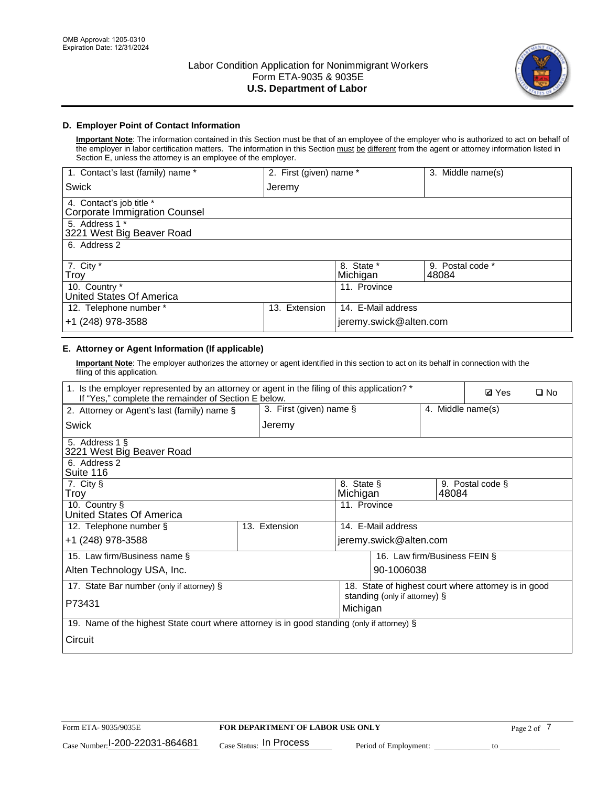

## **D. Employer Point of Contact Information**

**Important Note**: The information contained in this Section must be that of an employee of the employer who is authorized to act on behalf of the employer in labor certification matters. The information in this Section must be different from the agent or attorney information listed in Section E, unless the attorney is an employee of the employer.

| 1. Contact's last (family) name *                         | 2. First (given) name * |                        | 3. Middle name(s)         |
|-----------------------------------------------------------|-------------------------|------------------------|---------------------------|
| <b>Swick</b>                                              | Jeremy                  |                        |                           |
| 4. Contact's job title *<br>Corporate Immigration Counsel |                         |                        |                           |
| 5. Address 1 *<br>3221 West Big Beaver Road               |                         |                        |                           |
| 6. Address 2                                              |                         |                        |                           |
| 7. City $*$<br>Troy                                       |                         | 8. State *<br>Michigan | 9. Postal code *<br>48084 |
| 10. Country *<br>United States Of America                 |                         | 11. Province           |                           |
| 12. Telephone number *                                    | Extension<br>13.        | 14. E-Mail address     |                           |
| +1 (248) 978-3588                                         |                         | jeremy.swick@alten.com |                           |

# **E. Attorney or Agent Information (If applicable)**

**Important Note**: The employer authorizes the attorney or agent identified in this section to act on its behalf in connection with the filing of this application.

| 1. Is the employer represented by an attorney or agent in the filing of this application? *<br>If "Yes," complete the remainder of Section E below. |                            |                                           |                                                      | <b>Ø</b> Yes     | $\square$ No |
|-----------------------------------------------------------------------------------------------------------------------------------------------------|----------------------------|-------------------------------------------|------------------------------------------------------|------------------|--------------|
| 2. Attorney or Agent's last (family) name §                                                                                                         | 3. First (given) name $\S$ |                                           | 4. Middle name(s)                                    |                  |              |
| Swick                                                                                                                                               | Jeremy                     |                                           |                                                      |                  |              |
| 5. Address 1 §<br>3221 West Big Beaver Road                                                                                                         |                            |                                           |                                                      |                  |              |
| 6. Address 2<br>Suite 116                                                                                                                           |                            |                                           |                                                      |                  |              |
| 7. City §<br>Troy                                                                                                                                   |                            | 8. State §<br>Michigan                    | 48084                                                | 9. Postal code § |              |
| 10. Country §<br>United States Of America                                                                                                           |                            | 11. Province                              |                                                      |                  |              |
| 12. Telephone number §                                                                                                                              | 13. Extension              | 14. E-Mail address                        |                                                      |                  |              |
| +1 (248) 978-3588                                                                                                                                   |                            | jeremy.swick@alten.com                    |                                                      |                  |              |
| 15. Law firm/Business name §                                                                                                                        |                            |                                           | 16. Law firm/Business FEIN §                         |                  |              |
| Alten Technology USA, Inc.                                                                                                                          |                            | 90-1006038                                |                                                      |                  |              |
| 17. State Bar number (only if attorney) §                                                                                                           |                            |                                           | 18. State of highest court where attorney is in good |                  |              |
| P73431                                                                                                                                              |                            | standing (only if attorney) §<br>Michigan |                                                      |                  |              |
| 19. Name of the highest State court where attorney is in good standing (only if attorney) §                                                         |                            |                                           |                                                      |                  |              |
| Circuit                                                                                                                                             |                            |                                           |                                                      |                  |              |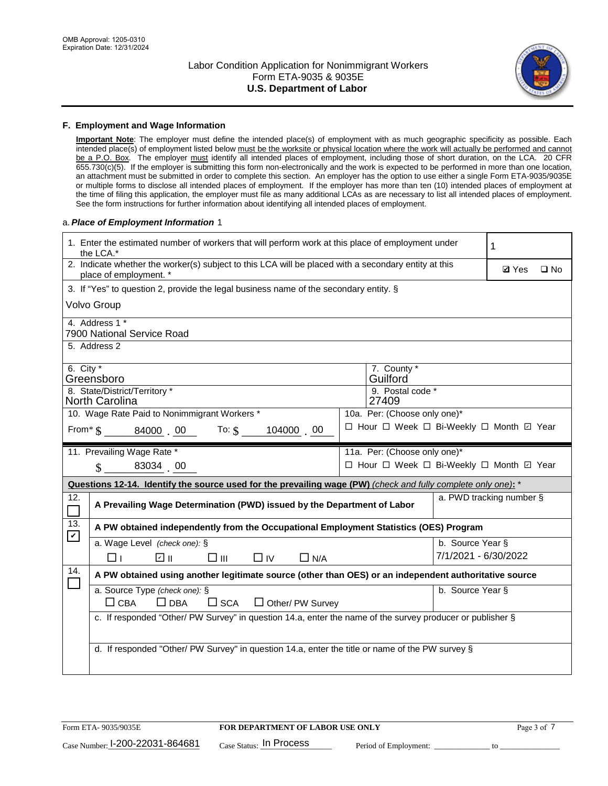

### **F. Employment and Wage Information**

**Important Note**: The employer must define the intended place(s) of employment with as much geographic specificity as possible. Each intended place(s) of employment listed below must be the worksite or physical location where the work will actually be performed and cannot be a P.O. Box. The employer must identify all intended places of employment, including those of short duration, on the LCA. 20 CFR 655.730(c)(5). If the employer is submitting this form non-electronically and the work is expected to be performed in more than one location, an attachment must be submitted in order to complete this section. An employer has the option to use either a single Form ETA-9035/9035E or multiple forms to disclose all intended places of employment. If the employer has more than ten (10) intended places of employment at the time of filing this application, the employer must file as many additional LCAs as are necessary to list all intended places of employment. See the form instructions for further information about identifying all intended places of employment.

### a.*Place of Employment Information* 1

|                    | 1. Enter the estimated number of workers that will perform work at this place of employment under<br>the LCA.*                 |                                             |                          | 1            |              |
|--------------------|--------------------------------------------------------------------------------------------------------------------------------|---------------------------------------------|--------------------------|--------------|--------------|
|                    | 2. Indicate whether the worker(s) subject to this LCA will be placed with a secondary entity at this<br>place of employment. * |                                             |                          | <b>Ø</b> Yes | $\square$ No |
|                    | 3. If "Yes" to question 2, provide the legal business name of the secondary entity. §                                          |                                             |                          |              |              |
|                    | <b>Volvo Group</b>                                                                                                             |                                             |                          |              |              |
|                    | 4. Address 1 *<br>7900 National Service Road                                                                                   |                                             |                          |              |              |
|                    | 5. Address 2                                                                                                                   |                                             |                          |              |              |
| 6. City $*$        | Greensboro<br>8. State/District/Territory *                                                                                    | 7. County *<br>Guilford<br>9. Postal code * |                          |              |              |
|                    | <b>North Carolina</b>                                                                                                          | 27409                                       |                          |              |              |
|                    | 10. Wage Rate Paid to Nonimmigrant Workers *                                                                                   | 10a. Per: (Choose only one)*                |                          |              |              |
|                    | From* $\$\$$ 84000 00 To: $\$\$$<br>104000 00                                                                                  | □ Hour □ Week □ Bi-Weekly □ Month 回 Year    |                          |              |              |
|                    | 11. Prevailing Wage Rate *                                                                                                     | 11a. Per: (Choose only one)*                |                          |              |              |
|                    | 83034 00<br>$\mathbf{\hat{S}}$                                                                                                 | □ Hour □ Week □ Bi-Weekly □ Month ☑ Year    |                          |              |              |
|                    | Questions 12-14. Identify the source used for the prevailing wage (PW) (check and fully complete only one): *                  |                                             |                          |              |              |
| 12.<br>$\Box$      | A Prevailing Wage Determination (PWD) issued by the Department of Labor                                                        |                                             | a. PWD tracking number § |              |              |
| 13.<br>$\mathbf v$ | A PW obtained independently from the Occupational Employment Statistics (OES) Program                                          |                                             |                          |              |              |
|                    | a. Wage Level (check one): §                                                                                                   |                                             | b. Source Year §         |              |              |
|                    | பெ<br>$\square$ $\square$<br>$\Box$ IV<br>$\Box$ N/A<br>□⊥                                                                     |                                             | 7/1/2021 - 6/30/2022     |              |              |
| 14.                | A PW obtained using another legitimate source (other than OES) or an independent authoritative source                          |                                             |                          |              |              |
|                    | a. Source Type (check one): §<br>$\Box$ CBA<br>$\Box$ DBA<br>$\square$ SCA<br>$\Box$ Other/ PW Survey                          |                                             | b. Source Year §         |              |              |
|                    | c. If responded "Other/ PW Survey" in question 14.a, enter the name of the survey producer or publisher §                      |                                             |                          |              |              |
|                    | d. If responded "Other/ PW Survey" in question 14.a, enter the title or name of the PW survey §                                |                                             |                          |              |              |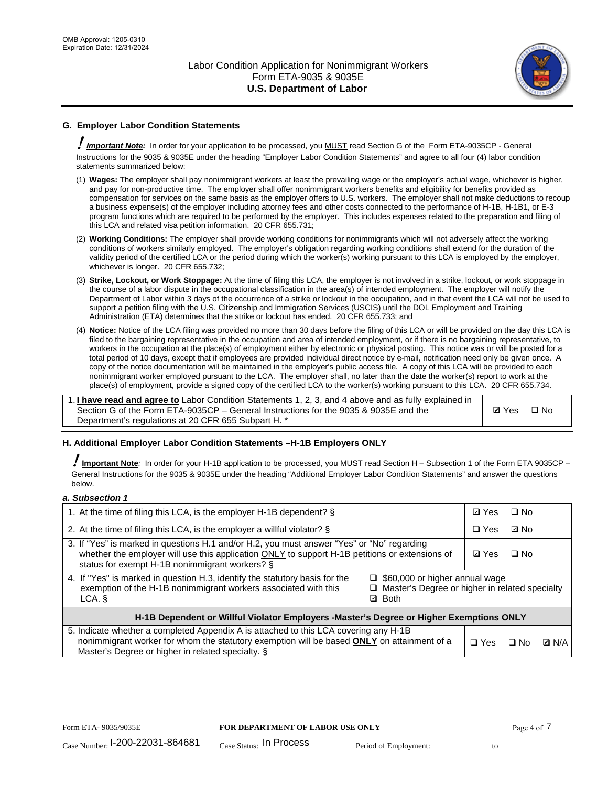

# **G. Employer Labor Condition Statements**

! *Important Note:* In order for your application to be processed, you MUST read Section G of the Form ETA-9035CP - General Instructions for the 9035 & 9035E under the heading "Employer Labor Condition Statements" and agree to all four (4) labor condition statements summarized below:

- (1) **Wages:** The employer shall pay nonimmigrant workers at least the prevailing wage or the employer's actual wage, whichever is higher, and pay for non-productive time. The employer shall offer nonimmigrant workers benefits and eligibility for benefits provided as compensation for services on the same basis as the employer offers to U.S. workers. The employer shall not make deductions to recoup a business expense(s) of the employer including attorney fees and other costs connected to the performance of H-1B, H-1B1, or E-3 program functions which are required to be performed by the employer. This includes expenses related to the preparation and filing of this LCA and related visa petition information. 20 CFR 655.731;
- (2) **Working Conditions:** The employer shall provide working conditions for nonimmigrants which will not adversely affect the working conditions of workers similarly employed. The employer's obligation regarding working conditions shall extend for the duration of the validity period of the certified LCA or the period during which the worker(s) working pursuant to this LCA is employed by the employer, whichever is longer. 20 CFR 655.732;
- (3) **Strike, Lockout, or Work Stoppage:** At the time of filing this LCA, the employer is not involved in a strike, lockout, or work stoppage in the course of a labor dispute in the occupational classification in the area(s) of intended employment. The employer will notify the Department of Labor within 3 days of the occurrence of a strike or lockout in the occupation, and in that event the LCA will not be used to support a petition filing with the U.S. Citizenship and Immigration Services (USCIS) until the DOL Employment and Training Administration (ETA) determines that the strike or lockout has ended. 20 CFR 655.733; and
- (4) **Notice:** Notice of the LCA filing was provided no more than 30 days before the filing of this LCA or will be provided on the day this LCA is filed to the bargaining representative in the occupation and area of intended employment, or if there is no bargaining representative, to workers in the occupation at the place(s) of employment either by electronic or physical posting. This notice was or will be posted for a total period of 10 days, except that if employees are provided individual direct notice by e-mail, notification need only be given once. A copy of the notice documentation will be maintained in the employer's public access file. A copy of this LCA will be provided to each nonimmigrant worker employed pursuant to the LCA. The employer shall, no later than the date the worker(s) report to work at the place(s) of employment, provide a signed copy of the certified LCA to the worker(s) working pursuant to this LCA. 20 CFR 655.734.

1. **I have read and agree to** Labor Condition Statements 1, 2, 3, and 4 above and as fully explained in Section G of the Form ETA-9035CP – General Instructions for the 9035 & 9035E and the Department's regulations at 20 CFR 655 Subpart H. \*

**Ø**Yes ロNo

## **H. Additional Employer Labor Condition Statements –H-1B Employers ONLY**

!**Important Note***:* In order for your H-1B application to be processed, you MUST read Section H – Subsection 1 of the Form ETA 9035CP – General Instructions for the 9035 & 9035E under the heading "Additional Employer Labor Condition Statements" and answer the questions below.

#### *a. Subsection 1*

| 1. At the time of filing this LCA, is the employer H-1B dependent? §                                                                                                                                                                           |                                                                                                               | ⊡ Yes        | $\square$ No |              |
|------------------------------------------------------------------------------------------------------------------------------------------------------------------------------------------------------------------------------------------------|---------------------------------------------------------------------------------------------------------------|--------------|--------------|--------------|
| 2. At the time of filing this LCA, is the employer a willful violator? $\S$                                                                                                                                                                    |                                                                                                               | $\Box$ Yes   | ⊡ No         |              |
| 3. If "Yes" is marked in questions H.1 and/or H.2, you must answer "Yes" or "No" regarding<br>whether the employer will use this application ONLY to support H-1B petitions or extensions of<br>status for exempt H-1B nonimmigrant workers? § |                                                                                                               | <b>☑</b> Yes | $\Box$ No    |              |
| 4. If "Yes" is marked in question H.3, identify the statutory basis for the<br>exemption of the H-1B nonimmigrant workers associated with this<br>LCA. §                                                                                       | $\Box$ \$60,000 or higher annual wage<br>□ Master's Degree or higher in related specialty<br><b>Both</b><br>☑ |              |              |              |
| H-1B Dependent or Willful Violator Employers -Master's Degree or Higher Exemptions ONLY                                                                                                                                                        |                                                                                                               |              |              |              |
| 5. Indicate whether a completed Appendix A is attached to this LCA covering any H-1B<br>nonimmigrant worker for whom the statutory exemption will be based <b>ONLY</b> on attainment of a<br>Master's Degree or higher in related specialty. § |                                                                                                               | $\Box$ Yes   | ⊟ No         | <b>D</b> N/A |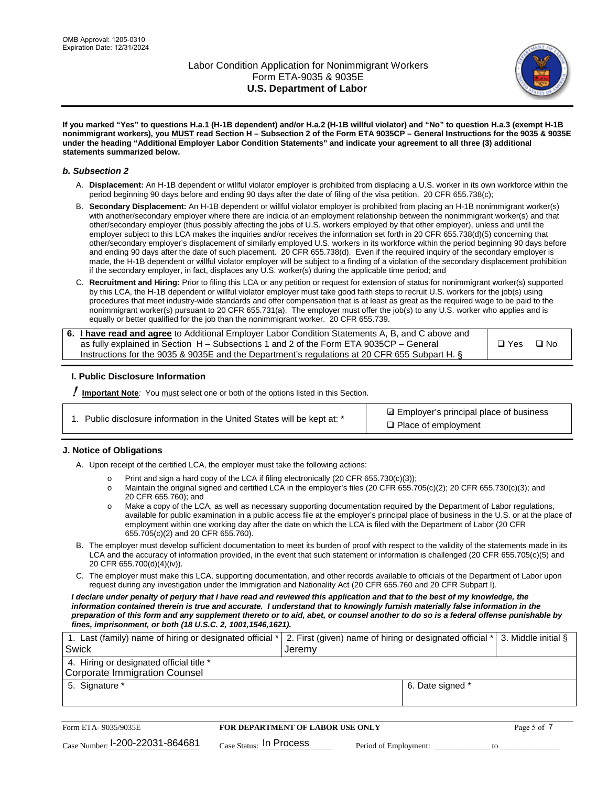

**If you marked "Yes" to questions H.a.1 (H-1B dependent) and/or H.a.2 (H-1B willful violator) and "No" to question H.a.3 (exempt H-1B nonimmigrant workers), you MUST read Section H – Subsection 2 of the Form ETA 9035CP – General Instructions for the 9035 & 9035E under the heading "Additional Employer Labor Condition Statements" and indicate your agreement to all three (3) additional statements summarized below.**

### *b. Subsection 2*

- A. **Displacement:** An H-1B dependent or willful violator employer is prohibited from displacing a U.S. worker in its own workforce within the period beginning 90 days before and ending 90 days after the date of filing of the visa petition. 20 CFR 655.738(c);
- B. **Secondary Displacement:** An H-1B dependent or willful violator employer is prohibited from placing an H-1B nonimmigrant worker(s) with another/secondary employer where there are indicia of an employment relationship between the nonimmigrant worker(s) and that other/secondary employer (thus possibly affecting the jobs of U.S. workers employed by that other employer), unless and until the employer subject to this LCA makes the inquiries and/or receives the information set forth in 20 CFR 655.738(d)(5) concerning that other/secondary employer's displacement of similarly employed U.S. workers in its workforce within the period beginning 90 days before and ending 90 days after the date of such placement. 20 CFR 655.738(d). Even if the required inquiry of the secondary employer is made, the H-1B dependent or willful violator employer will be subject to a finding of a violation of the secondary displacement prohibition if the secondary employer, in fact, displaces any U.S. worker(s) during the applicable time period; and
- C. **Recruitment and Hiring:** Prior to filing this LCA or any petition or request for extension of status for nonimmigrant worker(s) supported by this LCA, the H-1B dependent or willful violator employer must take good faith steps to recruit U.S. workers for the job(s) using procedures that meet industry-wide standards and offer compensation that is at least as great as the required wage to be paid to the nonimmigrant worker(s) pursuant to 20 CFR 655.731(a). The employer must offer the job(s) to any U.S. worker who applies and is equally or better qualified for the job than the nonimmigrant worker. 20 CFR 655.739.

| 6. I have read and agree to Additional Employer Labor Condition Statements A, B, and C above and |       |           |
|--------------------------------------------------------------------------------------------------|-------|-----------|
| as fully explained in Section H – Subsections 1 and 2 of the Form ETA 9035CP – General           | □ Yes | $\Box$ No |
| Instructions for the 9035 & 9035E and the Department's regulations at 20 CFR 655 Subpart H. §    |       |           |

## **I. Public Disclosure Information**

! **Important Note***:* You must select one or both of the options listed in this Section.

| 1. Public disclosure information in the United States will be kept at: * |  |  |  |  |  |  |  |
|--------------------------------------------------------------------------|--|--|--|--|--|--|--|
|--------------------------------------------------------------------------|--|--|--|--|--|--|--|

**sqrt** Employer's principal place of business □ Place of employment

## **J. Notice of Obligations**

A. Upon receipt of the certified LCA, the employer must take the following actions:

- o Print and sign a hard copy of the LCA if filing electronically (20 CFR 655.730(c)(3));<br>
Maintain the original signed and certified LCA in the employer's files (20 CFR 655.7
- Maintain the original signed and certified LCA in the employer's files (20 CFR 655.705(c)(2); 20 CFR 655.730(c)(3); and 20 CFR 655.760); and
- o Make a copy of the LCA, as well as necessary supporting documentation required by the Department of Labor regulations, available for public examination in a public access file at the employer's principal place of business in the U.S. or at the place of employment within one working day after the date on which the LCA is filed with the Department of Labor (20 CFR 655.705(c)(2) and 20 CFR 655.760).
- B. The employer must develop sufficient documentation to meet its burden of proof with respect to the validity of the statements made in its LCA and the accuracy of information provided, in the event that such statement or information is challenged (20 CFR 655.705(c)(5) and 20 CFR 655.700(d)(4)(iv)).
- C. The employer must make this LCA, supporting documentation, and other records available to officials of the Department of Labor upon request during any investigation under the Immigration and Nationality Act (20 CFR 655.760 and 20 CFR Subpart I).

*I declare under penalty of perjury that I have read and reviewed this application and that to the best of my knowledge, the*  information contained therein is true and accurate. I understand that to knowingly furnish materially false information in the *preparation of this form and any supplement thereto or to aid, abet, or counsel another to do so is a federal offense punishable by fines, imprisonment, or both (18 U.S.C. 2, 1001,1546,1621).*

| 1. Last (family) name of hiring or designated official *   2. First (given) name of hiring or designated official *   3. Middle initial § |                  |  |
|-------------------------------------------------------------------------------------------------------------------------------------------|------------------|--|
| Swick                                                                                                                                     | ⊤Jeremv          |  |
| 4. Hiring or designated official title *                                                                                                  |                  |  |
| Corporate Immigration Counsel                                                                                                             |                  |  |
| 5. Signature *                                                                                                                            | 6. Date signed * |  |
|                                                                                                                                           |                  |  |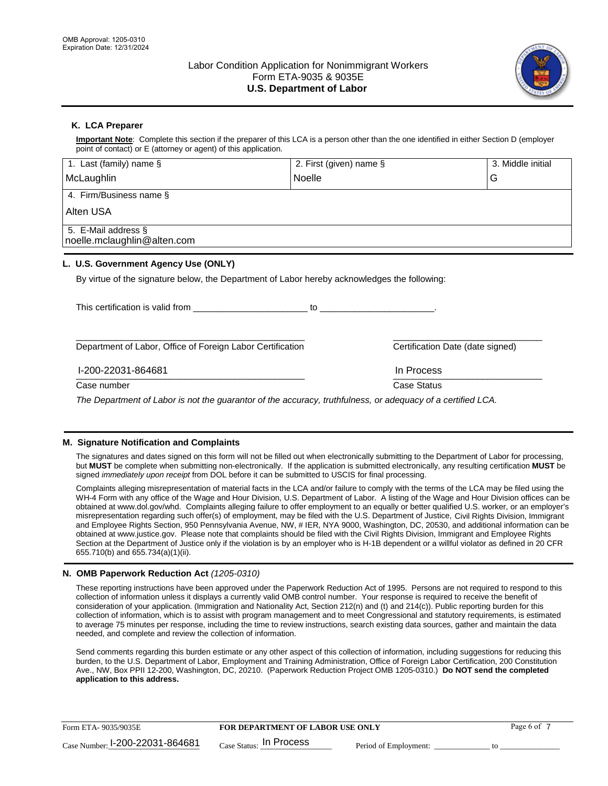

## **K. LCA Preparer**

**Important Note**: Complete this section if the preparer of this LCA is a person other than the one identified in either Section D (employer point of contact) or E (attorney or agent) of this application.

| 1. Last (family) name $\S$                                                                                  | 2. First (given) name §                                                          |                                  | 3. Middle initial |
|-------------------------------------------------------------------------------------------------------------|----------------------------------------------------------------------------------|----------------------------------|-------------------|
| McLaughlin                                                                                                  | <b>Noelle</b>                                                                    |                                  | G                 |
| 4. Firm/Business name §                                                                                     |                                                                                  |                                  |                   |
| Alten USA                                                                                                   |                                                                                  |                                  |                   |
| 5. E-Mail address §<br>noelle.mclaughlin@alten.com                                                          |                                                                                  |                                  |                   |
| L. U.S. Government Agency Use (ONLY)                                                                        |                                                                                  |                                  |                   |
| By virtue of the signature below, the Department of Labor hereby acknowledges the following:                |                                                                                  |                                  |                   |
|                                                                                                             | $\mathsf{to}$ . The contract of $\mathsf{to}$ is the contract of $\mathsf{to}$ . |                                  |                   |
| Department of Labor, Office of Foreign Labor Certification                                                  |                                                                                  | Certification Date (date signed) |                   |
| I-200-22031-864681                                                                                          |                                                                                  | In Process                       |                   |
| Case number                                                                                                 |                                                                                  | Case Status                      |                   |
| The Department of Labor is not the quarantor of the accuracy, truthfulness, or adequacy of a certified LCA. |                                                                                  |                                  |                   |

## **M. Signature Notification and Complaints**

The signatures and dates signed on this form will not be filled out when electronically submitting to the Department of Labor for processing, but **MUST** be complete when submitting non-electronically. If the application is submitted electronically, any resulting certification **MUST** be signed *immediately upon receipt* from DOL before it can be submitted to USCIS for final processing.

Complaints alleging misrepresentation of material facts in the LCA and/or failure to comply with the terms of the LCA may be filed using the WH-4 Form with any office of the Wage and Hour Division, U.S. Department of Labor. A listing of the Wage and Hour Division offices can be obtained at www.dol.gov/whd. Complaints alleging failure to offer employment to an equally or better qualified U.S. worker, or an employer's misrepresentation regarding such offer(s) of employment, may be filed with the U.S. Department of Justice, Civil Rights Division, Immigrant and Employee Rights Section, 950 Pennsylvania Avenue, NW, # IER, NYA 9000, Washington, DC, 20530, and additional information can be obtained at www.justice.gov. Please note that complaints should be filed with the Civil Rights Division, Immigrant and Employee Rights Section at the Department of Justice only if the violation is by an employer who is H-1B dependent or a willful violator as defined in 20 CFR 655.710(b) and 655.734(a)(1)(ii).

## **N. OMB Paperwork Reduction Act** *(1205-0310)*

These reporting instructions have been approved under the Paperwork Reduction Act of 1995. Persons are not required to respond to this collection of information unless it displays a currently valid OMB control number. Your response is required to receive the benefit of consideration of your application. (Immigration and Nationality Act, Section 212(n) and (t) and 214(c)). Public reporting burden for this collection of information, which is to assist with program management and to meet Congressional and statutory requirements, is estimated to average 75 minutes per response, including the time to review instructions, search existing data sources, gather and maintain the data needed, and complete and review the collection of information.

Send comments regarding this burden estimate or any other aspect of this collection of information, including suggestions for reducing this burden, to the U.S. Department of Labor, Employment and Training Administration, Office of Foreign Labor Certification, 200 Constitution Ave., NW, Box PPII 12-200, Washington, DC, 20210. (Paperwork Reduction Project OMB 1205-0310.) **Do NOT send the completed application to this address.**

| Form ETA-9035/9035E             | <b>FOR DEPARTMENT OF LABOR USE ONLY</b> |                       | Page 6 of |
|---------------------------------|-----------------------------------------|-----------------------|-----------|
| Case Number: 1-200-22031-864681 | $_{Case\; Status:}$ In Process          | Period of Employment: |           |